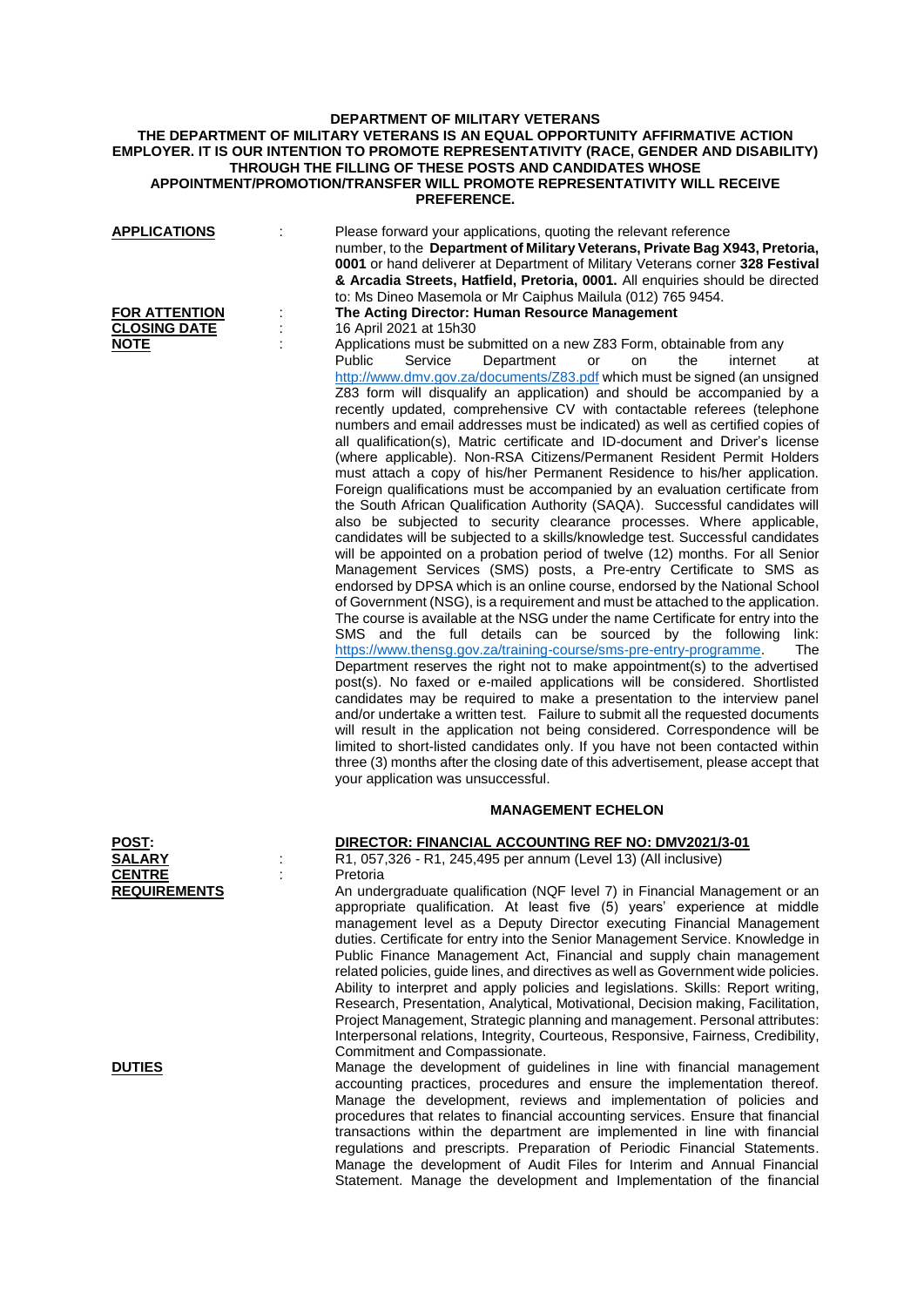# **DEPARTMENT OF MILITARY VETERANS THE DEPARTMENT OF MILITARY VETERANS IS AN EQUAL OPPORTUNITY AFFIRMATIVE ACTION EMPLOYER. IT IS OUR INTENTION TO PROMOTE REPRESENTATIVITY (RACE, GENDER AND DISABILITY) THROUGH THE FILLING OF THESE POSTS AND CANDIDATES WHOSE APPOINTMENT/PROMOTION/TRANSFER WILL PROMOTE REPRESENTATIVITY WILL RECEIVE PREFERENCE.**

| <b>APPLICATIONS</b><br><b>FOR ATTENTION</b><br><b>CLOSING DATE</b> | Please forward your applications, quoting the relevant reference<br>number, to the Department of Military Veterans, Private Bag X943, Pretoria,<br>0001 or hand deliverer at Department of Military Veterans corner 328 Festival<br>& Arcadia Streets, Hatfield, Pretoria, 0001. All enquiries should be directed<br>to: Ms Dineo Masemola or Mr Caiphus Mailula (012) 765 9454.<br>The Acting Director: Human Resource Management                                                                                                                                                                                                                                                                                                                                                                                                                                                                                                                                                                                                                                                                                                                                                                                                                                                                                                                                                                                                                                                                                                                                                                                                                                                                                                                                                                                                                                                                                                                                                                                                                                                                                                                                                                                                                       |
|--------------------------------------------------------------------|----------------------------------------------------------------------------------------------------------------------------------------------------------------------------------------------------------------------------------------------------------------------------------------------------------------------------------------------------------------------------------------------------------------------------------------------------------------------------------------------------------------------------------------------------------------------------------------------------------------------------------------------------------------------------------------------------------------------------------------------------------------------------------------------------------------------------------------------------------------------------------------------------------------------------------------------------------------------------------------------------------------------------------------------------------------------------------------------------------------------------------------------------------------------------------------------------------------------------------------------------------------------------------------------------------------------------------------------------------------------------------------------------------------------------------------------------------------------------------------------------------------------------------------------------------------------------------------------------------------------------------------------------------------------------------------------------------------------------------------------------------------------------------------------------------------------------------------------------------------------------------------------------------------------------------------------------------------------------------------------------------------------------------------------------------------------------------------------------------------------------------------------------------------------------------------------------------------------------------------------------------|
| <b>NOTE</b>                                                        | 16 April 2021 at 15h30<br>Applications must be submitted on a new Z83 Form, obtainable from any<br>Department<br><b>Public</b><br>Service<br>the<br>internet<br>or<br>on<br>at<br>http://www.dmv.gov.za/documents/Z83.pdf which must be signed (an unsigned<br>Z83 form will disqualify an application) and should be accompanied by a<br>recently updated, comprehensive CV with contactable referees (telephone<br>numbers and email addresses must be indicated) as well as certified copies of<br>all qualification(s), Matric certificate and ID-document and Driver's license<br>(where applicable). Non-RSA Citizens/Permanent Resident Permit Holders<br>must attach a copy of his/her Permanent Residence to his/her application.<br>Foreign qualifications must be accompanied by an evaluation certificate from<br>the South African Qualification Authority (SAQA). Successful candidates will<br>also be subjected to security clearance processes. Where applicable,<br>candidates will be subjected to a skills/knowledge test. Successful candidates<br>will be appointed on a probation period of twelve (12) months. For all Senior<br>Management Services (SMS) posts, a Pre-entry Certificate to SMS as<br>endorsed by DPSA which is an online course, endorsed by the National School<br>of Government (NSG), is a requirement and must be attached to the application.<br>The course is available at the NSG under the name Certificate for entry into the<br>SMS and the full details can be sourced by the following<br>link:<br>https://www.thensg.gov.za/training-course/sms-pre-entry-programme.<br>The<br>Department reserves the right not to make appointment(s) to the advertised<br>post(s). No faxed or e-mailed applications will be considered. Shortlisted<br>candidates may be required to make a presentation to the interview panel<br>and/or undertake a written test. Failure to submit all the requested documents<br>will result in the application not being considered. Correspondence will be<br>limited to short-listed candidates only. If you have not been contacted within<br>three (3) months after the closing date of this advertisement, please accept that<br>your application was unsuccessful. |
|                                                                    | <b>MANAGEMENT ECHELON</b>                                                                                                                                                                                                                                                                                                                                                                                                                                                                                                                                                                                                                                                                                                                                                                                                                                                                                                                                                                                                                                                                                                                                                                                                                                                                                                                                                                                                                                                                                                                                                                                                                                                                                                                                                                                                                                                                                                                                                                                                                                                                                                                                                                                                                                |
| <b>POST:</b><br><b>SALARY</b><br><b>CENTRE</b>                     | DIRECTOR: FINANCIAL ACCOUNTING REF NO: DMV2021/3-01<br>R1, 057,326 - R1, 245,495 per annum (Level 13) (All inclusive)<br>Pretoria                                                                                                                                                                                                                                                                                                                                                                                                                                                                                                                                                                                                                                                                                                                                                                                                                                                                                                                                                                                                                                                                                                                                                                                                                                                                                                                                                                                                                                                                                                                                                                                                                                                                                                                                                                                                                                                                                                                                                                                                                                                                                                                        |
| <b>REQUIREMENTS</b>                                                | An undergraduate qualification (NQF level 7) in Financial Management or an<br>appropriate qualification. At least five (5) years' experience at middle<br>management level as a Deputy Director executing Financial Management<br>duties. Certificate for entry into the Senior Management Service. Knowledge in<br>Public Finance Management Act, Financial and supply chain management<br>related policies, guide lines, and directives as well as Government wide policies.<br>Ability to interpret and apply policies and legislations. Skills: Report writing,<br>Research, Presentation, Analytical, Motivational, Decision making, Facilitation,<br>Project Management, Strategic planning and management. Personal attributes:<br>Interpersonal relations, Integrity, Courteous, Responsive, Fairness, Credibility,<br>Commitment and Compassionate.                                                                                                                                                                                                                                                                                                                                                                                                                                                                                                                                                                                                                                                                                                                                                                                                                                                                                                                                                                                                                                                                                                                                                                                                                                                                                                                                                                                             |
| <b>DUTIES</b>                                                      | Manage the development of guidelines in line with financial management<br>accounting practices, procedures and ensure the implementation thereof.<br>Manage the development, reviews and implementation of policies and<br>t salatan ta fisasanial nanaristing nas                                                                                                                                                                                                                                                                                                                                                                                                                                                                                                                                                                                                                                                                                                                                                                                                                                                                                                                                                                                                                                                                                                                                                                                                                                                                                                                                                                                                                                                                                                                                                                                                                                                                                                                                                                                                                                                                                                                                                                                       |

Manage the development, reviews and implementation of policies and procedures that relates to financial accounting services. Ensure that financial transactions within the department are implemented in line with financial regulations and prescripts. Preparation of Periodic Financial Statements. Manage the development of Audit Files for Interim and Annual Financial Statement. Manage the development and Implementation of the financial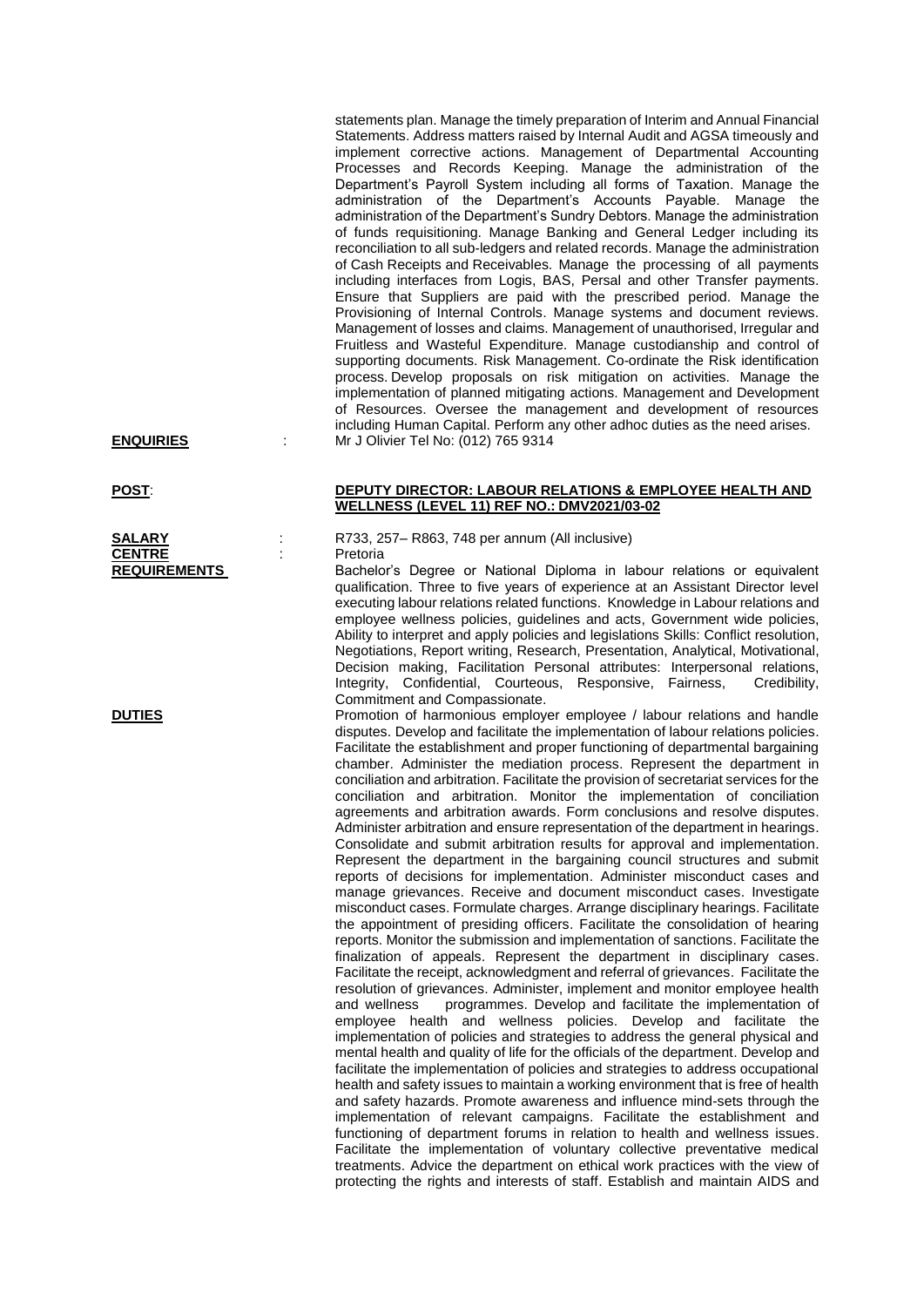statements plan. Manage the timely preparation of Interim and Annual Financial Statements. Address matters raised by Internal Audit and AGSA timeously and implement corrective actions. Management of Departmental Accounting Processes and Records Keeping. Manage the administration of the Department's Payroll System including all forms of Taxation. Manage the administration of the Department's Accounts Payable. Manage the administration of the Department's Sundry Debtors. Manage the administration of funds requisitioning. Manage Banking and General Ledger including its reconciliation to all sub-ledgers and related records. Manage the administration of Cash Receipts and Receivables. Manage the processing of all payments including interfaces from Logis, BAS, Persal and other Transfer payments. Ensure that Suppliers are paid with the prescribed period. Manage the Provisioning of Internal Controls. Manage systems and document reviews. Management of losses and claims. Management of unauthorised, Irregular and Fruitless and Wasteful Expenditure. Manage custodianship and control of supporting documents. Risk Management. Co-ordinate the Risk identification process. Develop proposals on risk mitigation on activities. Manage the implementation of planned mitigating actions. Management and Development of Resources. Oversee the management and development of resources including Human Capital. Perform any other adhoc duties as the need arises. **ENQUIRIES** : Mr J Olivier Tel No: (012) 765 9314

### **POST**: **DEPUTY DIRECTOR: LABOUR RELATIONS & EMPLOYEE HEALTH AND WELLNESS (LEVEL 11) REF NO.: DMV2021/03-02**

**SALARY** : R733, 257– R863, 748 per annum (All inclusive)

**REQUIREMENTS** Bachelor's Degree or National Diploma in labour relations or equivalent qualification. Three to five years of experience at an Assistant Director level executing labour relations related functions. Knowledge in Labour relations and employee wellness policies, guidelines and acts, Government wide policies, Ability to interpret and apply policies and legislations Skills: Conflict resolution, Negotiations, Report writing, Research, Presentation, Analytical, Motivational, Decision making, Facilitation Personal attributes: Interpersonal relations, Integrity, Confidential, Courteous, Responsive, Fairness, Credibility, Commitment and Compassionate.

**DUTIES** Promotion of harmonious employer employee / labour relations and handle disputes. Develop and facilitate the implementation of labour relations policies. Facilitate the establishment and proper functioning of departmental bargaining chamber. Administer the mediation process. Represent the department in conciliation and arbitration. Facilitate the provision of secretariat services for the conciliation and arbitration. Monitor the implementation of conciliation agreements and arbitration awards. Form conclusions and resolve disputes. Administer arbitration and ensure representation of the department in hearings. Consolidate and submit arbitration results for approval and implementation. Represent the department in the bargaining council structures and submit reports of decisions for implementation. Administer misconduct cases and manage grievances. Receive and document misconduct cases. Investigate misconduct cases. Formulate charges. Arrange disciplinary hearings. Facilitate the appointment of presiding officers. Facilitate the consolidation of hearing reports. Monitor the submission and implementation of sanctions. Facilitate the finalization of appeals. Represent the department in disciplinary cases. Facilitate the receipt, acknowledgment and referral of grievances. Facilitate the resolution of grievances. Administer, implement and monitor employee health and wellness programmes. Develop and facilitate the implementation of employee health and wellness policies. Develop and facilitate the implementation of policies and strategies to address the general physical and mental health and quality of life for the officials of the department. Develop and facilitate the implementation of policies and strategies to address occupational health and safety issues to maintain a working environment that is free of health and safety hazards. Promote awareness and influence mind-sets through the implementation of relevant campaigns. Facilitate the establishment and functioning of department forums in relation to health and wellness issues. Facilitate the implementation of voluntary collective preventative medical treatments. Advice the department on ethical work practices with the view of protecting the rights and interests of staff. Establish and maintain AIDS and

**CENTRE** : Pretoria